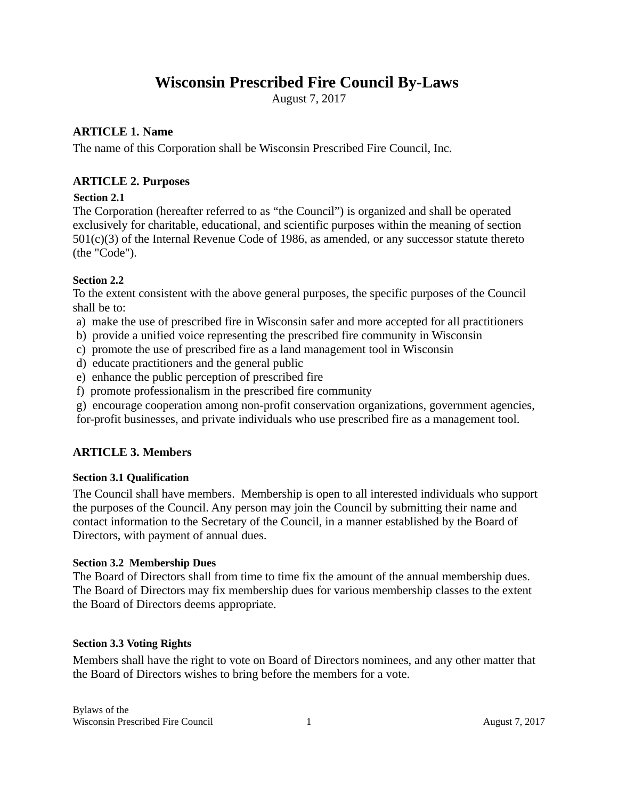# **Wisconsin Prescribed Fire Council By-Laws**

August 7, 2017

# **ARTICLE 1. Name**

The name of this Corporation shall be Wisconsin Prescribed Fire Council, Inc.

# **ARTICLE 2. Purposes**

## **Section 2.1**

The Corporation (hereafter referred to as "the Council") is organized and shall be operated exclusively for charitable, educational, and scientific purposes within the meaning of section 501(c)(3) of the Internal Revenue Code of 1986, as amended, or any successor statute thereto (the "Code").

## **Section 2.2**

To the extent consistent with the above general purposes, the specific purposes of the Council shall be to:

- a) make the use of prescribed fire in Wisconsin safer and more accepted for all practitioners
- b) provide a unified voice representing the prescribed fire community in Wisconsin
- c) promote the use of prescribed fire as a land management tool in Wisconsin
- d) educate practitioners and the general public
- e) enhance the public perception of prescribed fire
- f) promote professionalism in the prescribed fire community
- g) encourage cooperation among non-profit conservation organizations, government agencies,

for-profit businesses, and private individuals who use prescribed fire as a management tool.

# **ARTICLE 3. Members**

#### **Section 3.1 Qualification**

The Council shall have members. Membership is open to all interested individuals who support the purposes of the Council. Any person may join the Council by submitting their name and contact information to the Secretary of the Council, in a manner established by the Board of Directors, with payment of annual dues.

#### **Section 3.2 Membership Dues**

The Board of Directors shall from time to time fix the amount of the annual membership dues. The Board of Directors may fix membership dues for various membership classes to the extent the Board of Directors deems appropriate.

#### **Section 3.3 Voting Rights**

Members shall have the right to vote on Board of Directors nominees, and any other matter that the Board of Directors wishes to bring before the members for a vote.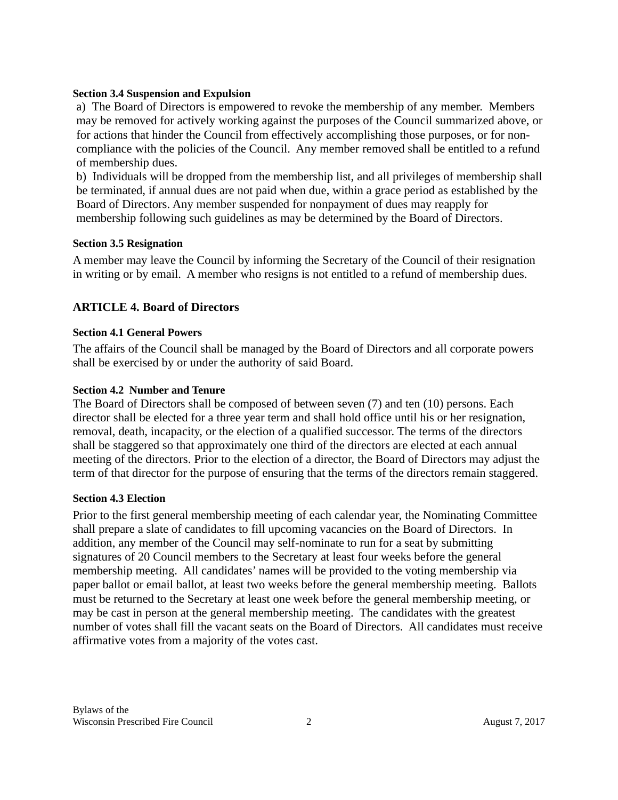#### **Section 3.4 Suspension and Expulsion**

a) The Board of Directors is empowered to revoke the membership of any member. Members may be removed for actively working against the purposes of the Council summarized above, or for actions that hinder the Council from effectively accomplishing those purposes, or for noncompliance with the policies of the Council. Any member removed shall be entitled to a refund of membership dues.

b) Individuals will be dropped from the membership list, and all privileges of membership shall be terminated, if annual dues are not paid when due, within a grace period as established by the Board of Directors. Any member suspended for nonpayment of dues may reapply for membership following such guidelines as may be determined by the Board of Directors.

#### **Section 3.5 Resignation**

A member may leave the Council by informing the Secretary of the Council of their resignation in writing or by email. A member who resigns is not entitled to a refund of membership dues.

## **ARTICLE 4. Board of Directors**

#### **Section 4.1 General Powers**

The affairs of the Council shall be managed by the Board of Directors and all corporate powers shall be exercised by or under the authority of said Board.

#### **Section 4.2 Number and Tenure**

The Board of Directors shall be composed of between seven (7) and ten (10) persons. Each director shall be elected for a three year term and shall hold office until his or her resignation, removal, death, incapacity, or the election of a qualified successor. The terms of the directors shall be staggered so that approximately one third of the directors are elected at each annual meeting of the directors. Prior to the election of a director, the Board of Directors may adjust the term of that director for the purpose of ensuring that the terms of the directors remain staggered.

#### **Section 4.3 Election**

Prior to the first general membership meeting of each calendar year, the Nominating Committee shall prepare a slate of candidates to fill upcoming vacancies on the Board of Directors. In addition, any member of the Council may self-nominate to run for a seat by submitting signatures of 20 Council members to the Secretary at least four weeks before the general membership meeting. All candidates' names will be provided to the voting membership via paper ballot or email ballot, at least two weeks before the general membership meeting. Ballots must be returned to the Secretary at least one week before the general membership meeting, or may be cast in person at the general membership meeting. The candidates with the greatest number of votes shall fill the vacant seats on the Board of Directors. All candidates must receive affirmative votes from a majority of the votes cast.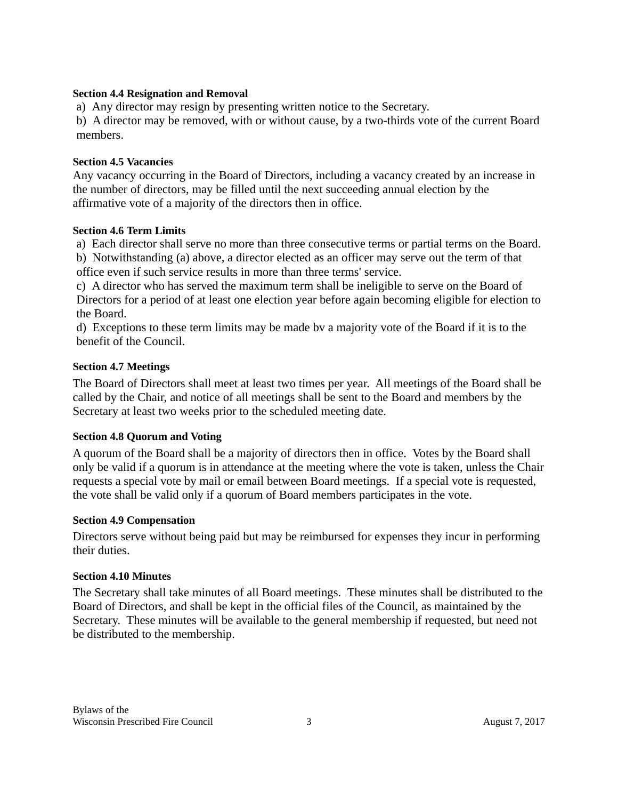#### **Section 4.4 Resignation and Removal**

a) Any director may resign by presenting written notice to the Secretary.

b) A director may be removed, with or without cause, by a two-thirds vote of the current Board members.

#### **Section 4.5 Vacancies**

Any vacancy occurring in the Board of Directors, including a vacancy created by an increase in the number of directors, may be filled until the next succeeding annual election by the affirmative vote of a majority of the directors then in office.

#### **Section 4.6 Term Limits**

a) Each director shall serve no more than three consecutive terms or partial terms on the Board.

b) Notwithstanding (a) above, a director elected as an officer may serve out the term of that office even if such service results in more than three terms' service.

c) A director who has served the maximum term shall be ineligible to serve on the Board of Directors for a period of at least one election year before again becoming eligible for election to the Board.

d) Exceptions to these term limits may be made bv a majority vote of the Board if it is to the benefit of the Council.

#### **Section 4.7 Meetings**

The Board of Directors shall meet at least two times per year. All meetings of the Board shall be called by the Chair, and notice of all meetings shall be sent to the Board and members by the Secretary at least two weeks prior to the scheduled meeting date.

#### **Section 4.8 Quorum and Voting**

A quorum of the Board shall be a majority of directors then in office. Votes by the Board shall only be valid if a quorum is in attendance at the meeting where the vote is taken, unless the Chair requests a special vote by mail or email between Board meetings. If a special vote is requested, the vote shall be valid only if a quorum of Board members participates in the vote.

#### **Section 4.9 Compensation**

Directors serve without being paid but may be reimbursed for expenses they incur in performing their duties.

#### **Section 4.10 Minutes**

The Secretary shall take minutes of all Board meetings. These minutes shall be distributed to the Board of Directors, and shall be kept in the official files of the Council, as maintained by the Secretary. These minutes will be available to the general membership if requested, but need not be distributed to the membership.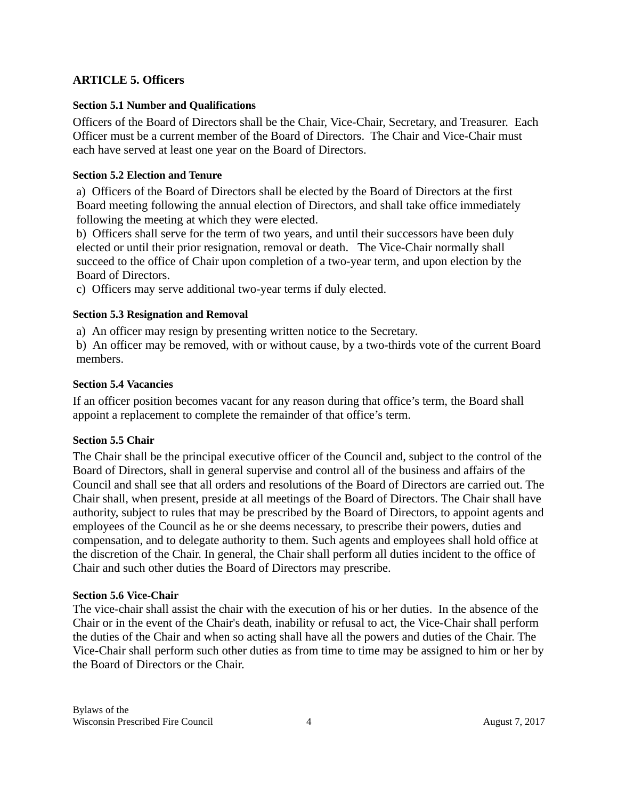# **ARTICLE 5. Officers**

## **Section 5.1 Number and Qualifications**

Officers of the Board of Directors shall be the Chair, Vice-Chair, Secretary, and Treasurer. Each Officer must be a current member of the Board of Directors. The Chair and Vice-Chair must each have served at least one year on the Board of Directors.

## **Section 5.2 Election and Tenure**

a) Officers of the Board of Directors shall be elected by the Board of Directors at the first Board meeting following the annual election of Directors, and shall take office immediately following the meeting at which they were elected.

b) Officers shall serve for the term of two years, and until their successors have been duly elected or until their prior resignation, removal or death. The Vice-Chair normally shall succeed to the office of Chair upon completion of a two-year term, and upon election by the Board of Directors.

c) Officers may serve additional two-year terms if duly elected.

## **Section 5.3 Resignation and Removal**

a) An officer may resign by presenting written notice to the Secretary.

b) An officer may be removed, with or without cause, by a two-thirds vote of the current Board members.

## **Section 5.4 Vacancies**

If an officer position becomes vacant for any reason during that office's term, the Board shall appoint a replacement to complete the remainder of that office's term.

#### **Section 5.5 Chair**

The Chair shall be the principal executive officer of the Council and, subject to the control of the Board of Directors, shall in general supervise and control all of the business and affairs of the Council and shall see that all orders and resolutions of the Board of Directors are carried out. The Chair shall, when present, preside at all meetings of the Board of Directors. The Chair shall have authority, subject to rules that may be prescribed by the Board of Directors, to appoint agents and employees of the Council as he or she deems necessary, to prescribe their powers, duties and compensation, and to delegate authority to them. Such agents and employees shall hold office at the discretion of the Chair. In general, the Chair shall perform all duties incident to the office of Chair and such other duties the Board of Directors may prescribe.

#### **Section 5.6 Vice-Chair**

The vice-chair shall assist the chair with the execution of his or her duties. In the absence of the Chair or in the event of the Chair's death, inability or refusal to act, the Vice-Chair shall perform the duties of the Chair and when so acting shall have all the powers and duties of the Chair. The Vice-Chair shall perform such other duties as from time to time may be assigned to him or her by the Board of Directors or the Chair.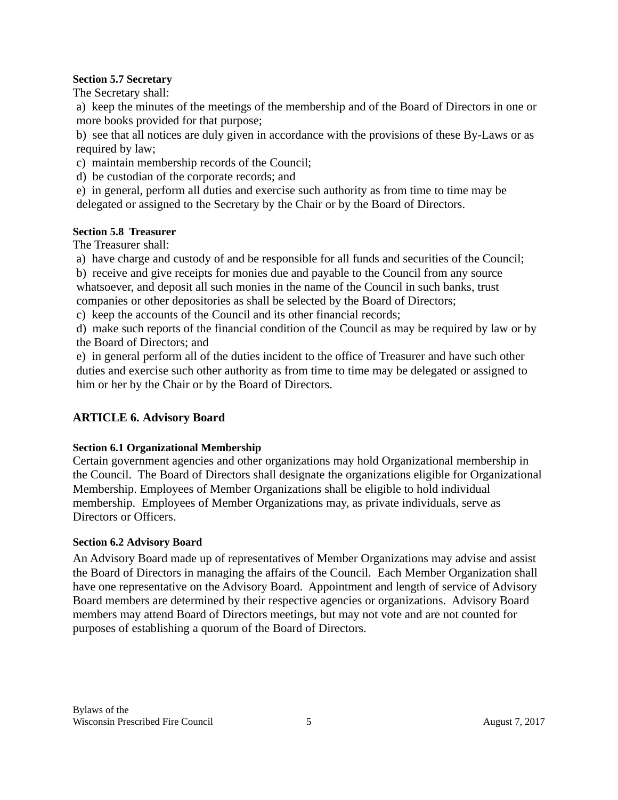### **Section 5.7 Secretary**

The Secretary shall:

a) keep the minutes of the meetings of the membership and of the Board of Directors in one or more books provided for that purpose;

b) see that all notices are duly given in accordance with the provisions of these By-Laws or as required by law;

- c) maintain membership records of the Council;
- d) be custodian of the corporate records; and

e) in general, perform all duties and exercise such authority as from time to time may be delegated or assigned to the Secretary by the Chair or by the Board of Directors.

## **Section 5.8 Treasurer**

The Treasurer shall:

a) have charge and custody of and be responsible for all funds and securities of the Council;

b) receive and give receipts for monies due and payable to the Council from any source whatsoever, and deposit all such monies in the name of the Council in such banks, trust companies or other depositories as shall be selected by the Board of Directors;

c) keep the accounts of the Council and its other financial records;

d) make such reports of the financial condition of the Council as may be required by law or by the Board of Directors; and

e) in general perform all of the duties incident to the office of Treasurer and have such other duties and exercise such other authority as from time to time may be delegated or assigned to him or her by the Chair or by the Board of Directors.

# **ARTICLE 6. Advisory Board**

# **Section 6.1 Organizational Membership**

Certain government agencies and other organizations may hold Organizational membership in the Council. The Board of Directors shall designate the organizations eligible for Organizational Membership. Employees of Member Organizations shall be eligible to hold individual membership. Employees of Member Organizations may, as private individuals, serve as Directors or Officers.

# **Section 6.2 Advisory Board**

An Advisory Board made up of representatives of Member Organizations may advise and assist the Board of Directors in managing the affairs of the Council. Each Member Organization shall have one representative on the Advisory Board. Appointment and length of service of Advisory Board members are determined by their respective agencies or organizations. Advisory Board members may attend Board of Directors meetings, but may not vote and are not counted for purposes of establishing a quorum of the Board of Directors.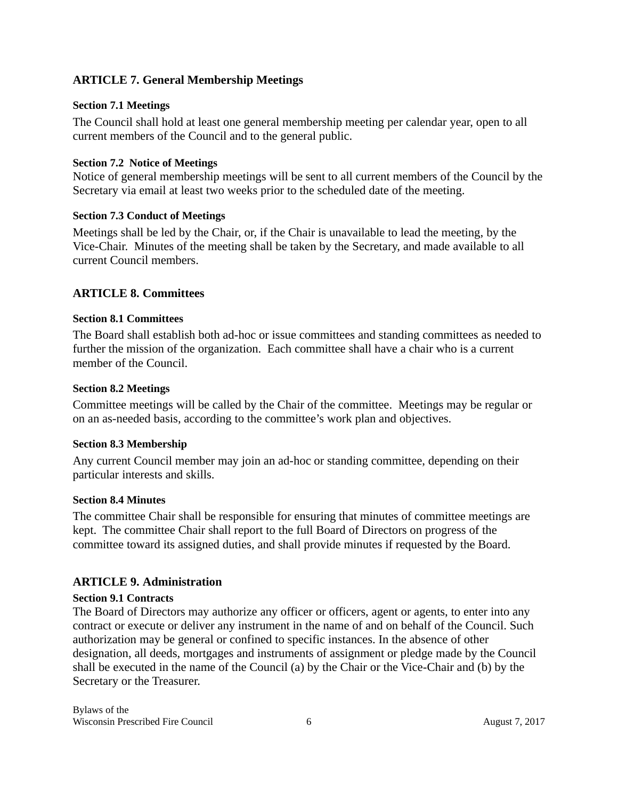# **ARTICLE 7. General Membership Meetings**

## **Section 7.1 Meetings**

The Council shall hold at least one general membership meeting per calendar year, open to all current members of the Council and to the general public.

## **Section 7.2 Notice of Meetings**

Notice of general membership meetings will be sent to all current members of the Council by the Secretary via email at least two weeks prior to the scheduled date of the meeting.

## **Section 7.3 Conduct of Meetings**

Meetings shall be led by the Chair, or, if the Chair is unavailable to lead the meeting, by the Vice-Chair. Minutes of the meeting shall be taken by the Secretary, and made available to all current Council members.

# **ARTICLE 8. Committees**

#### **Section 8.1 Committees**

The Board shall establish both ad-hoc or issue committees and standing committees as needed to further the mission of the organization. Each committee shall have a chair who is a current member of the Council.

#### **Section 8.2 Meetings**

Committee meetings will be called by the Chair of the committee. Meetings may be regular or on an as-needed basis, according to the committee's work plan and objectives.

#### **Section 8.3 Membership**

Any current Council member may join an ad-hoc or standing committee, depending on their particular interests and skills.

#### **Section 8.4 Minutes**

The committee Chair shall be responsible for ensuring that minutes of committee meetings are kept. The committee Chair shall report to the full Board of Directors on progress of the committee toward its assigned duties, and shall provide minutes if requested by the Board.

# **ARTICLE 9. Administration**

# **Section 9.1 Contracts**

The Board of Directors may authorize any officer or officers, agent or agents, to enter into any contract or execute or deliver any instrument in the name of and on behalf of the Council. Such authorization may be general or confined to specific instances. In the absence of other designation, all deeds, mortgages and instruments of assignment or pledge made by the Council shall be executed in the name of the Council (a) by the Chair or the Vice-Chair and (b) by the Secretary or the Treasurer.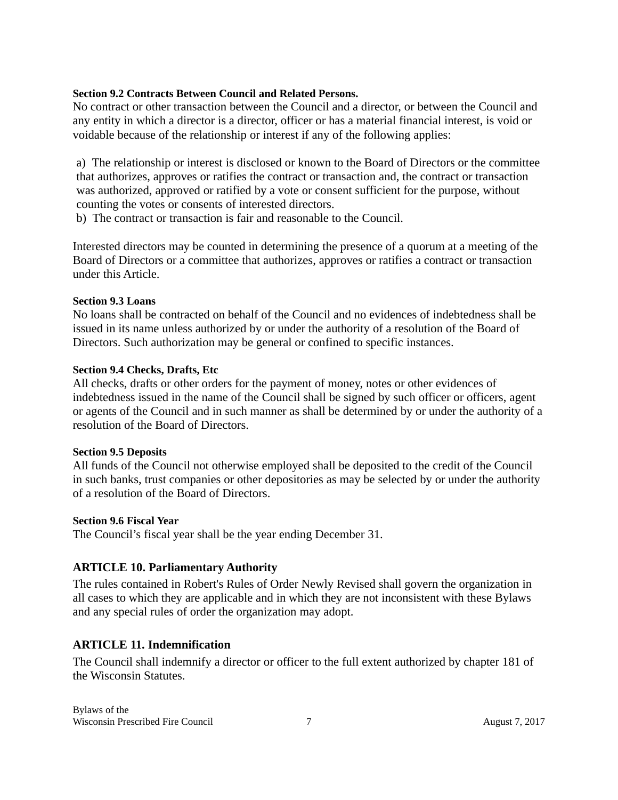#### **Section 9.2 Contracts Between Council and Related Persons.**

No contract or other transaction between the Council and a director, or between the Council and any entity in which a director is a director, officer or has a material financial interest, is void or voidable because of the relationship or interest if any of the following applies:

a) The relationship or interest is disclosed or known to the Board of Directors or the committee that authorizes, approves or ratifies the contract or transaction and, the contract or transaction was authorized, approved or ratified by a vote or consent sufficient for the purpose, without counting the votes or consents of interested directors.

b) The contract or transaction is fair and reasonable to the Council.

Interested directors may be counted in determining the presence of a quorum at a meeting of the Board of Directors or a committee that authorizes, approves or ratifies a contract or transaction under this Article.

#### **Section 9.3 Loans**

No loans shall be contracted on behalf of the Council and no evidences of indebtedness shall be issued in its name unless authorized by or under the authority of a resolution of the Board of Directors. Such authorization may be general or confined to specific instances.

#### **Section 9.4 Checks, Drafts, Etc**

All checks, drafts or other orders for the payment of money, notes or other evidences of indebtedness issued in the name of the Council shall be signed by such officer or officers, agent or agents of the Council and in such manner as shall be determined by or under the authority of a resolution of the Board of Directors.

#### **Section 9.5 Deposits**

All funds of the Council not otherwise employed shall be deposited to the credit of the Council in such banks, trust companies or other depositories as may be selected by or under the authority of a resolution of the Board of Directors.

#### **Section 9.6 Fiscal Year**

The Council's fiscal year shall be the year ending December 31.

#### **ARTICLE 10. Parliamentary Authority**

The rules contained in Robert's Rules of Order Newly Revised shall govern the organization in all cases to which they are applicable and in which they are not inconsistent with these Bylaws and any special rules of order the organization may adopt.

#### **ARTICLE 11. Indemnification**

The Council shall indemnify a director or officer to the full extent authorized by chapter 181 of the Wisconsin Statutes.